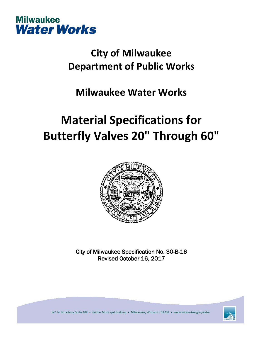

## **City of Milwaukee Department of Public Works**

### **Milwaukee Water Works**

# **Material Specifications for Butterfly Valves 20" Through 60"**



City of Milwaukee Specification No. 30-B-16 Revised October 16, 2017

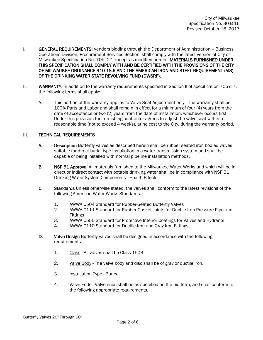- **I.** GENERAL REQUIREMENTS: Vendors bidding through the Department of Administration Business Operations Division, Procurement Services Section, shall comply with the latest version of City of Milwaukee Specification No. 70b-D-7, except as modified herein. MATERIALS FURNISHED UNDER THIS SPECIFICATION SHALL COMPLY WITH AND BE CERTIFIED WITH THE PROVISIONS OF THE CITY OF MILWAUKEE ORDINANCE 310-18.9 AND THE AMERICAN IRON AND STEEL REQUIREMENT (AIS) OF THE DRINKING WATER STATE REVOLVING FUND (DWSRF).
- II. WARRANTY: In addition to the warranty requirements specified in Section II of specification 70b-d-7, the following terms shall apply:
	- A. This portion of the warranty applies to Valve Seat Adjustment only: The warranty shall be 100% Parts and Labor and shall remain in effect for a minimum of four (4) years from the date of acceptance or two (2) years from the date of installation, whichever occurs first. Under this provision the furnishing contractor agrees to adjust the valve seat within a reasonable time (not to exceed 4 weeks), at no cost to the City, during the warranty period.

### III. TECHNICAL REQUIREMENTS

- A. Description Butterfly valves as described herein shall be rubber seated iron bodied valves suitable for direct burial type installation in a water transmission system and shall be capable of being installed with normal pipeline installation methods.
- B. NSF 61 Approval All materials furnished to the Milwaukee Water Works and which will be in direct or indirect contact with potable drinking water shall be in compliance with NSF 61 Drinking Water System Components - Health Effects.
- C. Standards Unless otherwise stated, the valves shall conform to the latest revisions of the following American Water Works Standards:
	- 1. AWWA C504 Standard for Rubber-Seated Butterfly Valves
	- 2. AWWA C111 Standard for Rubber-Gasket Joints for Ductile-Iron Pressure Pipe and Fittings
	- 3. AWWA C550 Standard for Protective Interior Coatings for Valves and Hydrants
	- 4. AWWA C110 Standard for Ductile-Iron and Gray-Iron Fittings
- D. Valve Design Butterfly valves shall be designed in accordance with the following requirements:
	- 1. Class All valves shall be Class 150B
	- 2. Valve Body The valve body and disc shall be of gray or ductile iron.
	- 3. Installation Type Buried
	- 4. Valve Ends Valve ends shall be as specified on the bid form, and shall conform to the following appropriate requirements.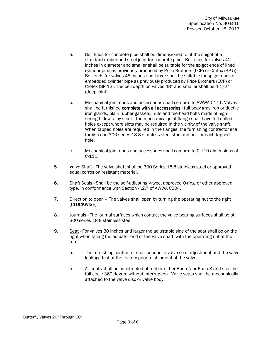- a. Bell Ends for concrete pipe shall be dimensioned to fit the spigot of a standard rubber and steel joint for concrete pipe. Bell ends for valves 42 inches in diameter and smaller shall be suitable for the spigot ends of lined cylinder pipe as previously produced by Price Brothers (LCP) or Cretex (SP-5). Bell ends for valves 48 inches and larger shall be suitable for spigot ends of embedded cylinder pipe as previously produced by Price Brothers (ECP) or Cretex (SP-12). The bell depth on valves 48" and smaller shall be 4-1/2" (deep joint).
- b. Mechanical joint ends and accessories shall conform to AWWA C111. Valves shall be furnished complete with all accessories - full body gray iron or ductile iron glands, plain rubber gaskets, nuts and tee-head bolts made of highstrength, low-alloy steel. The mechanical joint flange shall have full-drilled holes except where slots may be required in the vicinity of the valve shaft. When tapped holes are required in the flanges, the furnishing contractor shall furnish one 300 series 18-8 stainless steel stud and nut for each tapped hole.
- c. Mechanical joint ends and accessories shall conform to C-110 dimensions of C-111.
- 5. Valve Shaft The valve shaft shall be 300 Series 18-8 stainless steel or approved equal corrosion resistant material.
- 6. Shaft Seals Shall be the self-adjusting V-type, approved O-ring, or other approved type, in conformance with Section 4.2.7 of AWWA C504.
- 7. Direction to open The valves shall open by turning the operating nut to the right (CLOCKWISE).
- 8. Journals The journal surfaces which contact the valve bearing surfaces shall be of 300 series 18-8 stainless steel.
- 9. Seat For valves 30 inches and larger the adjustable side of the seat shall be on the right when facing the actuator end of the valve shaft, with the operating nut at the top.
	- a. The furnishing contractor shall conduct a valve seat adjustment and the valve leakage test at the factory prior to shipment of the valve.
	- b. All seats shall be constructed of rubber either Buna N or Buna S and shall be full circle 360-degree without interruption. Valve seats shall be mechanically attached to the valve disc or valve body.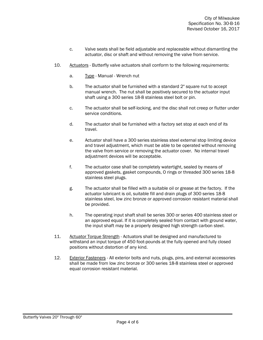- c. Valve seats shall be field adjustable and replaceable without dismantling the actuator, disc or shaft and without removing the valve from service.
- 10. Actuators Butterfly valve actuators shall conform to the following requirements:
	- a. Type Manual Wrench nut
	- b. The actuator shall be furnished with a standard 2" square nut to accept manual wrench. The nut shall be positively secured to the actuator input shaft using a 300 series 18-8 stainless steel bolt or pin.
	- c. The actuator shall be self-locking, and the disc shall not creep or flutter under service conditions.
	- d. The actuator shall be furnished with a factory set stop at each end of its travel.
	- e. Actuator shall have a 300 series stainless steel external stop limiting device and travel adjustment, which must be able to be operated without removing the valve from service or removing the actuator cover. No internal travel adjustment devices will be acceptable.
	- f. The actuator case shall be completely watertight, sealed by means of approved gaskets, gasket compounds, O rings or threaded 300 series 18-8 stainless steel plugs.
	- g. The actuator shall be filled with a suitable oil or grease at the factory. If the actuator lubricant is oil, suitable fill and drain plugs of 300 series 18-8 stainless steel, low zinc bronze or approved corrosion resistant material shall be provided.
	- h. The operating input shaft shall be series 300 or series 400 stainless steel or an approved equal. If it is completely sealed from contact with ground water, the input shaft may be a properly designed high strength carbon steel.
- 11. Actuator Torque Strength Actuators shall be designed and manufactured to withstand an input torque of 450 foot-pounds at the fully opened and fully closed positions without distortion of any kind.
- 12. Exterior Fasteners All exterior bolts and nuts, plugs, pins, and external accessories shall be made from low zinc bronze or 300 series 18-8 stainless steel or approved equal corrosion resistant material.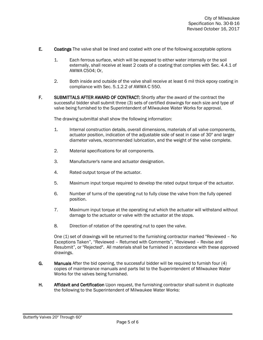- E. Coatings The valve shall be lined and coated with one of the following acceptable options
	- 1. Each ferrous surface, which will be exposed to either water internally or the soil externally, shall receive at least 2 coats of a coating that complies with Sec. 4.4.1 of AWWA C504; Or,
	- 2. Both inside and outside of the valve shall receive at least 6 mil thick epoxy coating in compliance with Sec. 5.1.2.2 of AWWA C 550.
- F. SUBMITTALS AFTER AWARD OF CONTRACT: Shortly after the award of the contract the successful bidder shall submit three (3) sets of certified drawings for each size and type of valve being furnished to the Superintendent of Milwaukee Water Works for approval.

The drawing submittal shall show the following information:

- 1. Internal construction details, overall dimensions, materials of all valve components, actuator position, indication of the adjustable side of seat in case of 30" and larger diameter valves, recommended lubrication, and the weight of the valve complete.
- 2. Material specifications for all components.
- 3. Manufacturer's name and actuator designation.
- 4. Rated output torque of the actuator.
- 5. Maximum input torque required to develop the rated output torque of the actuator.
- 6. Number of turns of the operating nut to fully close the valve from the fully opened position.
- 7. Maximum input torque at the operating nut which the actuator will withstand without damage to the actuator or valve with the actuator at the stops.
- 8. Direction of rotation of the operating nut to open the valve.

One (1) set of drawings will be returned to the furnishing contractor marked "Reviewed – No Exceptions Taken", "Reviewed – Returned with Comments", "Reviewed – Revise and Resubmit", or "Rejected". All materials shall be furnished in accordance with these approved drawings.

- G. Manuals After the bid opening, the successful bidder will be required to furnish four (4) copies of maintenance manuals and parts list to the Superintendent of Milwaukee Water Works for the valves being furnished.
- H. Affidavit and Certification Upon request, the furnishing contractor shall submit in duplicate the following to the Superintendent of Milwaukee Water Works: